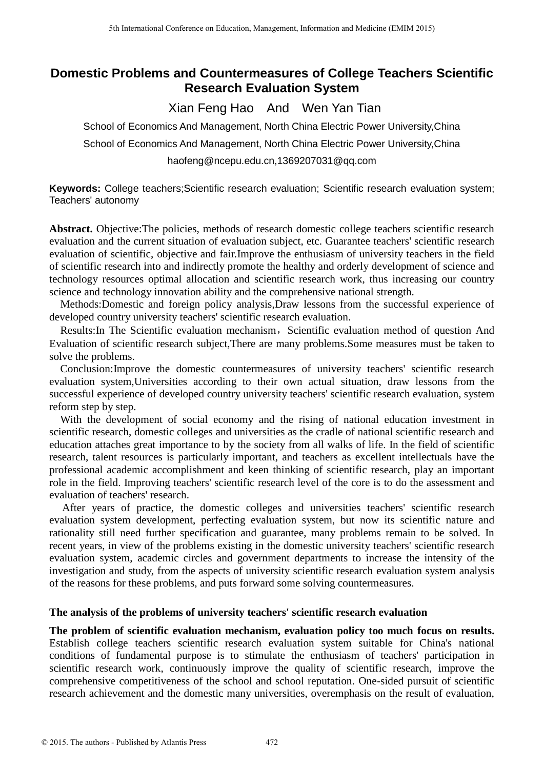# **Domestic Problems and Countermeasures of College Teachers Scientific Research Evaluation System**

Xian Feng Hao And Wen Yan Tian

School of Economics And Management, North China Electric Power University,China School of Economics And Management, North China Electric Power University,China haofeng@ncepu.edu.cn,1369207031@qq.com

**Keywords:** College teachers;Scientific research evaluation; Scientific research evaluation system; Teachers' autonomy

**Abstract.** Objective:The policies, methods of research domestic college teachers scientific research evaluation and the current situation of evaluation subject, etc. Guarantee teachers' scientific research evaluation of scientific, objective and fair.Improve the enthusiasm of university teachers in the field of scientific research into and indirectly promote the healthy and orderly development of science and technology resources optimal allocation and scientific research work, thus increasing our country science and technology innovation ability and the comprehensive national strength.

Methods:Domestic and foreign policy analysis,Draw lessons from the successful experience of developed country university teachers' scientific research evaluation.

Results: In The Scientific evaluation mechanism, Scientific evaluation method of question And Evaluation of scientific research subject,There are many problems.Some measures must be taken to solve the problems.

Conclusion:Improve the domestic countermeasures of university teachers' scientific research evaluation system,Universities according to their own actual situation, draw lessons from the successful experience of developed country university teachers' scientific research evaluation, system reform step by step.

With the development of social economy and the rising of national education investment in scientific research, domestic colleges and universities as the cradle of national scientific research and education attaches great importance to by the society from all walks of life. In the field of scientific research, talent resources is particularly important, and teachers as excellent intellectuals have the professional academic accomplishment and keen thinking of scientific research, play an important role in the field. Improving teachers' scientific research level of the core is to do the assessment and evaluation of teachers' research.

After years of practice, the domestic colleges and universities teachers' scientific research evaluation system development, perfecting evaluation system, but now its scientific nature and rationality still need further specification and guarantee, many problems remain to be solved. In recent years, in view of the problems existing in the domestic university teachers' scientific research evaluation system, academic circles and government departments to increase the intensity of the investigation and study, from the aspects of university scientific research evaluation system analysis of the reasons for these problems, and puts forward some solving countermeasures.

# **The analysis of the problems of university teachers' scientific research evaluation**

**The problem of scientific evaluation mechanism, evaluation policy too much focus on results.**  Establish college teachers scientific research evaluation system suitable for China's national conditions of fundamental purpose is to stimulate the enthusiasm of teachers' participation in scientific research work, continuously improve the quality of scientific research, improve the comprehensive competitiveness of the school and school reputation. One-sided pursuit of scientific research achievement and the domestic many universities, overemphasis on the result of evaluation,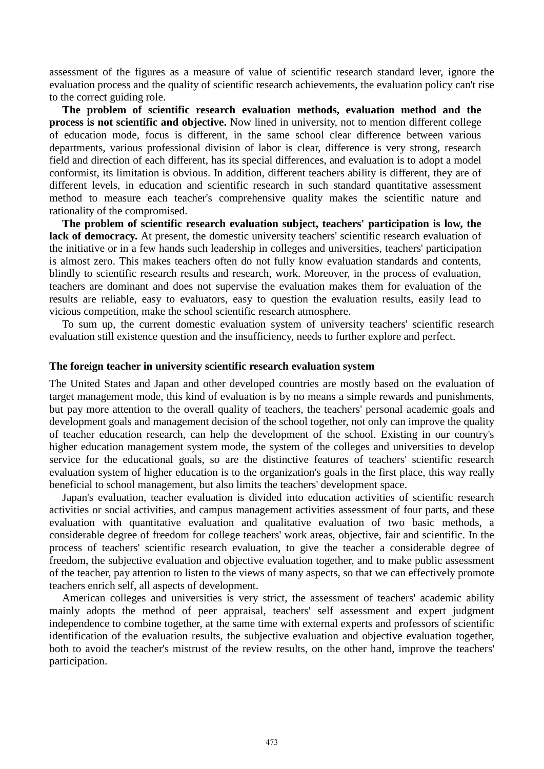assessment of the figures as a measure of value of scientific research standard lever, ignore the evaluation process and the quality of scientific research achievements, the evaluation policy can't rise to the correct guiding role.

**The problem of scientific research evaluation methods, evaluation method and the process is not scientific and objective.** Now lined in university, not to mention different college of education mode, focus is different, in the same school clear difference between various departments, various professional division of labor is clear, difference is very strong, research field and direction of each different, has its special differences, and evaluation is to adopt a model conformist, its limitation is obvious. In addition, different teachers ability is different, they are of different levels, in education and scientific research in such standard quantitative assessment method to measure each teacher's comprehensive quality makes the scientific nature and rationality of the compromised.

**The problem of scientific research evaluation subject, teachers' participation is low, the**  lack of democracy. At present, the domestic university teachers' scientific research evaluation of the initiative or in a few hands such leadership in colleges and universities, teachers' participation is almost zero. This makes teachers often do not fully know evaluation standards and contents, blindly to scientific research results and research, work. Moreover, in the process of evaluation, teachers are dominant and does not supervise the evaluation makes them for evaluation of the results are reliable, easy to evaluators, easy to question the evaluation results, easily lead to vicious competition, make the school scientific research atmosphere.

To sum up, the current domestic evaluation system of university teachers' scientific research evaluation still existence question and the insufficiency, needs to further explore and perfect.

#### **The foreign teacher in university scientific research evaluation system**

The United States and Japan and other developed countries are mostly based on the evaluation of target management mode, this kind of evaluation is by no means a simple rewards and punishments, but pay more attention to the overall quality of teachers, the teachers' personal academic goals and development goals and management decision of the school together, not only can improve the quality of teacher education research, can help the development of the school. Existing in our country's higher education management system mode, the system of the colleges and universities to develop service for the educational goals, so are the distinctive features of teachers' scientific research evaluation system of higher education is to the organization's goals in the first place, this way really beneficial to school management, but also limits the teachers' development space.

Japan's evaluation, teacher evaluation is divided into education activities of scientific research activities or social activities, and campus management activities assessment of four parts, and these evaluation with quantitative evaluation and qualitative evaluation of two basic methods, a considerable degree of freedom for college teachers' work areas, objective, fair and scientific. In the process of teachers' scientific research evaluation, to give the teacher a considerable degree of freedom, the subjective evaluation and objective evaluation together, and to make public assessment of the teacher, pay attention to listen to the views of many aspects, so that we can effectively promote teachers enrich self, all aspects of development.

American colleges and universities is very strict, the assessment of teachers' academic ability mainly adopts the method of peer appraisal, teachers' self assessment and expert judgment independence to combine together, at the same time with external experts and professors of scientific identification of the evaluation results, the subjective evaluation and objective evaluation together, both to avoid the teacher's mistrust of the review results, on the other hand, improve the teachers' participation.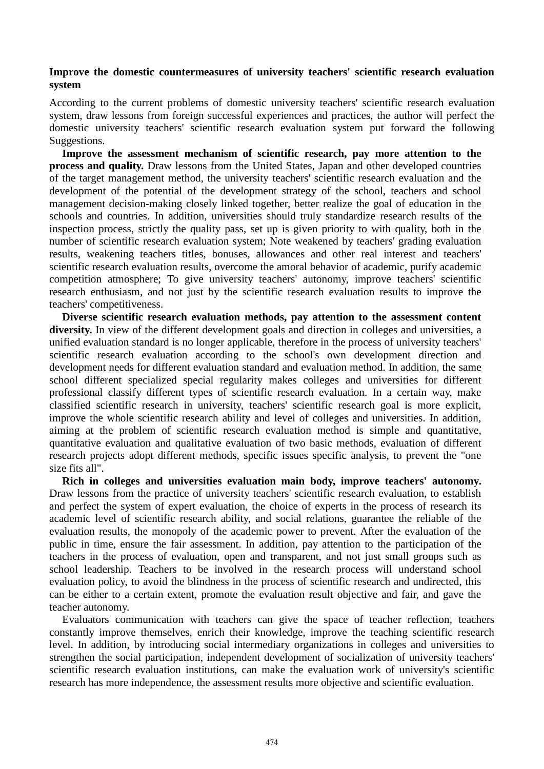## **Improve the domestic countermeasures of university teachers' scientific research evaluation system**

According to the current problems of domestic university teachers' scientific research evaluation system, draw lessons from foreign successful experiences and practices, the author will perfect the domestic university teachers' scientific research evaluation system put forward the following Suggestions.

**Improve the assessment mechanism of scientific research, pay more attention to the process and quality.** Draw lessons from the United States, Japan and other developed countries of the target management method, the university teachers' scientific research evaluation and the development of the potential of the development strategy of the school, teachers and school management decision-making closely linked together, better realize the goal of education in the schools and countries. In addition, universities should truly standardize research results of the inspection process, strictly the quality pass, set up is given priority to with quality, both in the number of scientific research evaluation system; Note weakened by teachers' grading evaluation results, weakening teachers titles, bonuses, allowances and other real interest and teachers' scientific research evaluation results, overcome the amoral behavior of academic, purify academic competition atmosphere; To give university teachers' autonomy, improve teachers' scientific research enthusiasm, and not just by the scientific research evaluation results to improve the teachers' competitiveness.

**Diverse scientific research evaluation methods, pay attention to the assessment content diversity.** In view of the different development goals and direction in colleges and universities, a unified evaluation standard is no longer applicable, therefore in the process of university teachers' scientific research evaluation according to the school's own development direction and development needs for different evaluation standard and evaluation method. In addition, the same school different specialized special regularity makes colleges and universities for different professional classify different types of scientific research evaluation. In a certain way, make classified scientific research in university, teachers' scientific research goal is more explicit, improve the whole scientific research ability and level of colleges and universities. In addition, aiming at the problem of scientific research evaluation method is simple and quantitative, quantitative evaluation and qualitative evaluation of two basic methods, evaluation of different research projects adopt different methods, specific issues specific analysis, to prevent the "one size fits all".

**Rich in colleges and universities evaluation main body, improve teachers' autonomy.** Draw lessons from the practice of university teachers' scientific research evaluation, to establish and perfect the system of expert evaluation, the choice of experts in the process of research its academic level of scientific research ability, and social relations, guarantee the reliable of the evaluation results, the monopoly of the academic power to prevent. After the evaluation of the public in time, ensure the fair assessment. In addition, pay attention to the participation of the teachers in the process of evaluation, open and transparent, and not just small groups such as school leadership. Teachers to be involved in the research process will understand school evaluation policy, to avoid the blindness in the process of scientific research and undirected, this can be either to a certain extent, promote the evaluation result objective and fair, and gave the teacher autonomy.

Evaluators communication with teachers can give the space of teacher reflection, teachers constantly improve themselves, enrich their knowledge, improve the teaching scientific research level. In addition, by introducing social intermediary organizations in colleges and universities to strengthen the social participation, independent development of socialization of university teachers' scientific research evaluation institutions, can make the evaluation work of university's scientific research has more independence, the assessment results more objective and scientific evaluation.